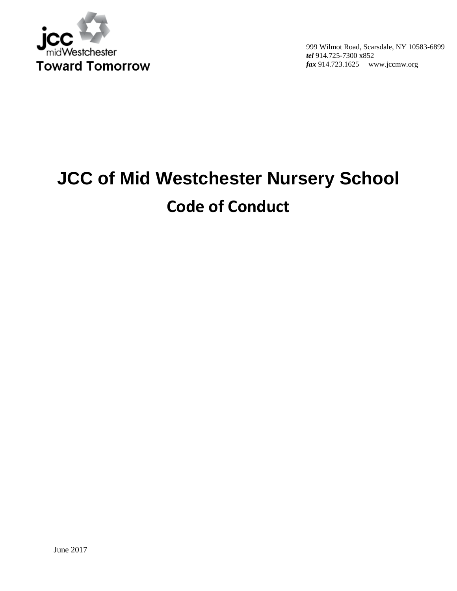

# **JCC of Mid Westchester Nursery School Code of Conduct**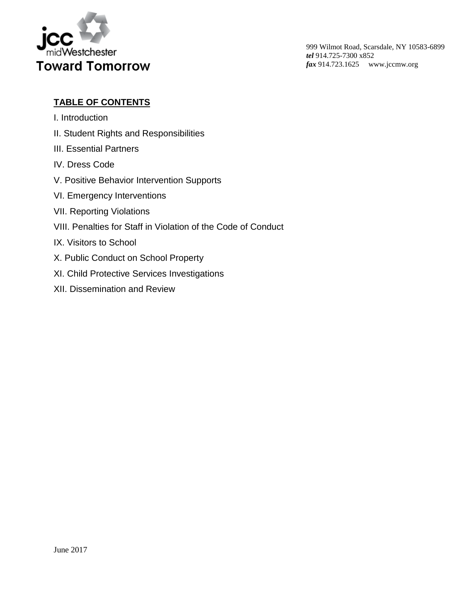

# **TABLE OF CONTENTS**

- I. Introduction
- II. Student Rights and Responsibilities
- III. Essential Partners
- IV. Dress Code
- V. Positive Behavior Intervention Supports
- VI. Emergency Interventions
- VII. Reporting Violations
- VIII. Penalties for Staff in Violation of the Code of Conduct
- IX. Visitors to School
- X. Public Conduct on School Property
- XI. Child Protective Services Investigations
- XII. Dissemination and Review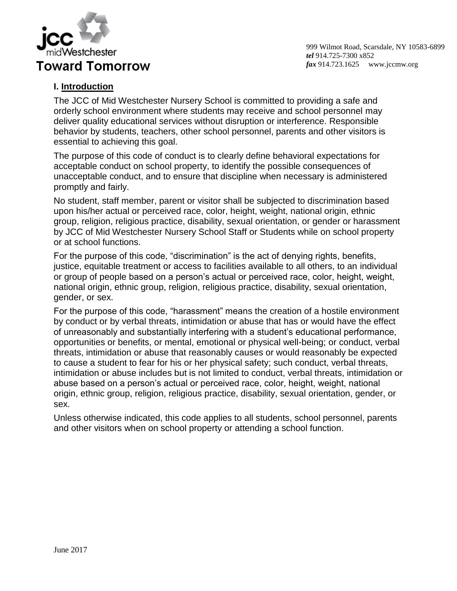

#### **I. Introduction**

The JCC of Mid Westchester Nursery School is committed to providing a safe and orderly school environment where students may receive and school personnel may deliver quality educational services without disruption or interference. Responsible behavior by students, teachers, other school personnel, parents and other visitors is essential to achieving this goal.

The purpose of this code of conduct is to clearly define behavioral expectations for acceptable conduct on school property, to identify the possible consequences of unacceptable conduct, and to ensure that discipline when necessary is administered promptly and fairly.

No student, staff member, parent or visitor shall be subjected to discrimination based upon his/her actual or perceived race, color, height, weight, national origin, ethnic group, religion, religious practice, disability, sexual orientation, or gender or harassment by JCC of Mid Westchester Nursery School Staff or Students while on school property or at school functions.

For the purpose of this code, "discrimination" is the act of denying rights, benefits, justice, equitable treatment or access to facilities available to all others, to an individual or group of people based on a person's actual or perceived race, color, height, weight, national origin, ethnic group, religion, religious practice, disability, sexual orientation, gender, or sex.

For the purpose of this code, "harassment" means the creation of a hostile environment by conduct or by verbal threats, intimidation or abuse that has or would have the effect of unreasonably and substantially interfering with a student's educational performance, opportunities or benefits, or mental, emotional or physical well-being; or conduct, verbal threats, intimidation or abuse that reasonably causes or would reasonably be expected to cause a student to fear for his or her physical safety; such conduct, verbal threats, intimidation or abuse includes but is not limited to conduct, verbal threats, intimidation or abuse based on a person's actual or perceived race, color, height, weight, national origin, ethnic group, religion, religious practice, disability, sexual orientation, gender, or sex.

Unless otherwise indicated, this code applies to all students, school personnel, parents and other visitors when on school property or attending a school function.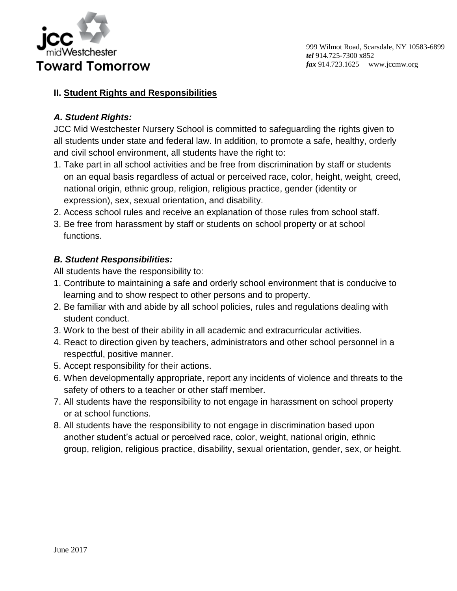

#### **II. Student Rights and Responsibilities**

## *A. Student Rights:*

JCC Mid Westchester Nursery School is committed to safeguarding the rights given to all students under state and federal law. In addition, to promote a safe, healthy, orderly and civil school environment, all students have the right to:

- 1. Take part in all school activities and be free from discrimination by staff or students on an equal basis regardless of actual or perceived race, color, height, weight, creed, national origin, ethnic group, religion, religious practice, gender (identity or expression), sex, sexual orientation, and disability.
- 2. Access school rules and receive an explanation of those rules from school staff.
- 3. Be free from harassment by staff or students on school property or at school functions.

## *B. Student Responsibilities:*

All students have the responsibility to:

- 1. Contribute to maintaining a safe and orderly school environment that is conducive to learning and to show respect to other persons and to property.
- 2. Be familiar with and abide by all school policies, rules and regulations dealing with student conduct.
- 3. Work to the best of their ability in all academic and extracurricular activities.
- 4. React to direction given by teachers, administrators and other school personnel in a respectful, positive manner.
- 5. Accept responsibility for their actions.
- 6. When developmentally appropriate, report any incidents of violence and threats to the safety of others to a teacher or other staff member.
- 7. All students have the responsibility to not engage in harassment on school property or at school functions.
- 8. All students have the responsibility to not engage in discrimination based upon another student's actual or perceived race, color, weight, national origin, ethnic group, religion, religious practice, disability, sexual orientation, gender, sex, or height.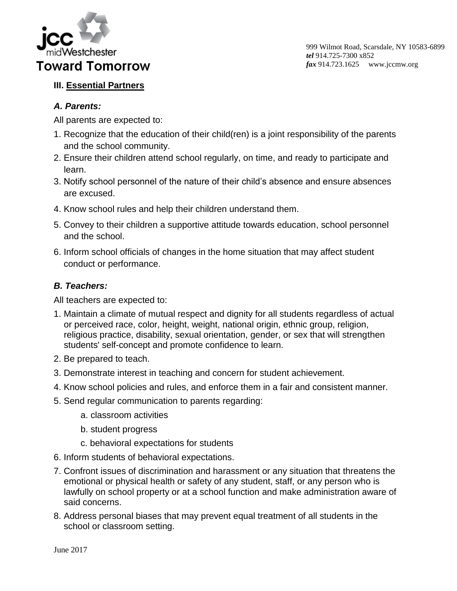

# **III. Essential Partners**

## *A. Parents:*

All parents are expected to:

- 1. Recognize that the education of their child(ren) is a joint responsibility of the parents and the school community.
- 2. Ensure their children attend school regularly, on time, and ready to participate and learn.
- 3. Notify school personnel of the nature of their child's absence and ensure absences are excused.
- 4. Know school rules and help their children understand them.
- 5. Convey to their children a supportive attitude towards education, school personnel and the school.
- 6. Inform school officials of changes in the home situation that may affect student conduct or performance.

## *B. Teachers:*

All teachers are expected to:

- 1. Maintain a climate of mutual respect and dignity for all students regardless of actual or perceived race, color, height, weight, national origin, ethnic group, religion, religious practice, disability, sexual orientation, gender, or sex that will strengthen students' self-concept and promote confidence to learn.
- 2. Be prepared to teach.
- 3. Demonstrate interest in teaching and concern for student achievement.
- 4. Know school policies and rules, and enforce them in a fair and consistent manner.
- 5. Send regular communication to parents regarding:
	- a. classroom activities
	- b. student progress
	- c. behavioral expectations for students
- 6. Inform students of behavioral expectations.
- 7. Confront issues of discrimination and harassment or any situation that threatens the emotional or physical health or safety of any student, staff, or any person who is lawfully on school property or at a school function and make administration aware of said concerns.
- 8. Address personal biases that may prevent equal treatment of all students in the school or classroom setting.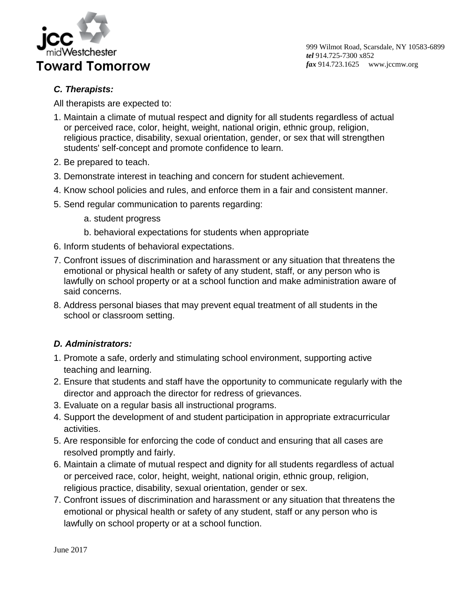

# *C. Therapists:*

All therapists are expected to:

- 1. Maintain a climate of mutual respect and dignity for all students regardless of actual or perceived race, color, height, weight, national origin, ethnic group, religion, religious practice, disability, sexual orientation, gender, or sex that will strengthen students' self-concept and promote confidence to learn.
- 2. Be prepared to teach.
- 3. Demonstrate interest in teaching and concern for student achievement.
- 4. Know school policies and rules, and enforce them in a fair and consistent manner.
- 5. Send regular communication to parents regarding:
	- a. student progress
	- b. behavioral expectations for students when appropriate
- 6. Inform students of behavioral expectations.
- 7. Confront issues of discrimination and harassment or any situation that threatens the emotional or physical health or safety of any student, staff, or any person who is lawfully on school property or at a school function and make administration aware of said concerns.
- 8. Address personal biases that may prevent equal treatment of all students in the school or classroom setting.

#### *D. Administrators:*

- 1. Promote a safe, orderly and stimulating school environment, supporting active teaching and learning.
- 2. Ensure that students and staff have the opportunity to communicate regularly with the director and approach the director for redress of grievances.
- 3. Evaluate on a regular basis all instructional programs.
- 4. Support the development of and student participation in appropriate extracurricular activities.
- 5. Are responsible for enforcing the code of conduct and ensuring that all cases are resolved promptly and fairly.
- 6. Maintain a climate of mutual respect and dignity for all students regardless of actual or perceived race, color, height, weight, national origin, ethnic group, religion, religious practice, disability, sexual orientation, gender or sex.
- 7. Confront issues of discrimination and harassment or any situation that threatens the emotional or physical health or safety of any student, staff or any person who is lawfully on school property or at a school function.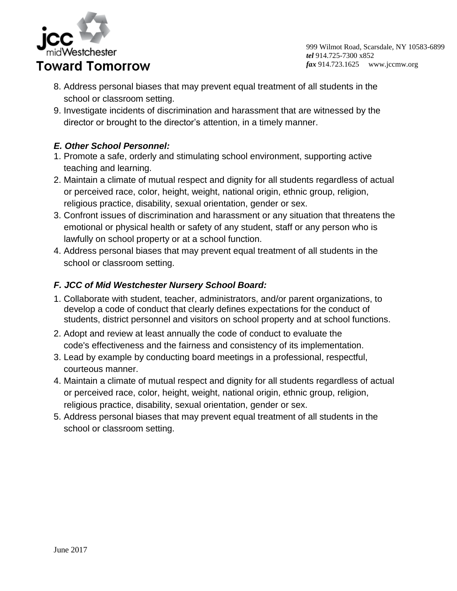

- 8. Address personal biases that may prevent equal treatment of all students in the school or classroom setting.
- 9. Investigate incidents of discrimination and harassment that are witnessed by the director or brought to the director's attention, in a timely manner.

# *E. Other School Personnel:*

- 1. Promote a safe, orderly and stimulating school environment, supporting active teaching and learning.
- 2. Maintain a climate of mutual respect and dignity for all students regardless of actual or perceived race, color, height, weight, national origin, ethnic group, religion, religious practice, disability, sexual orientation, gender or sex.
- 3. Confront issues of discrimination and harassment or any situation that threatens the emotional or physical health or safety of any student, staff or any person who is lawfully on school property or at a school function.
- 4. Address personal biases that may prevent equal treatment of all students in the school or classroom setting.

# *F. JCC of Mid Westchester Nursery School Board:*

- 1. Collaborate with student, teacher, administrators, and/or parent organizations, to develop a code of conduct that clearly defines expectations for the conduct of students, district personnel and visitors on school property and at school functions.
- 2. Adopt and review at least annually the code of conduct to evaluate the code's effectiveness and the fairness and consistency of its implementation.
- 3. Lead by example by conducting board meetings in a professional, respectful, courteous manner.
- 4. Maintain a climate of mutual respect and dignity for all students regardless of actual or perceived race, color, height, weight, national origin, ethnic group, religion, religious practice, disability, sexual orientation, gender or sex.
- 5. Address personal biases that may prevent equal treatment of all students in the school or classroom setting.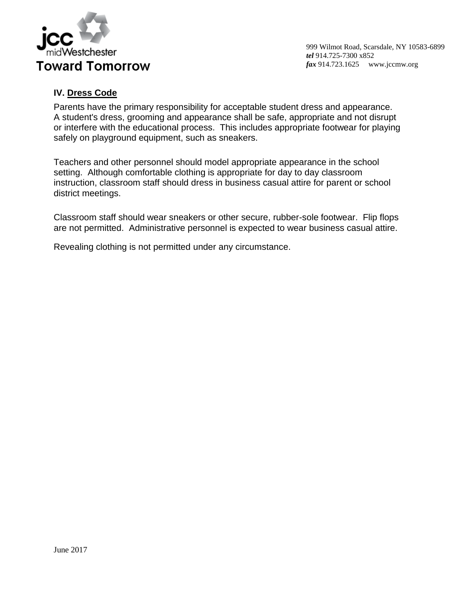

## **IV. Dress Code**

Parents have the primary responsibility for acceptable student dress and appearance. A student's dress, grooming and appearance shall be safe, appropriate and not disrupt or interfere with the educational process. This includes appropriate footwear for playing safely on playground equipment, such as sneakers.

Teachers and other personnel should model appropriate appearance in the school setting. Although comfortable clothing is appropriate for day to day classroom instruction, classroom staff should dress in business casual attire for parent or school district meetings.

Classroom staff should wear sneakers or other secure, rubber-sole footwear. Flip flops are not permitted. Administrative personnel is expected to wear business casual attire.

Revealing clothing is not permitted under any circumstance.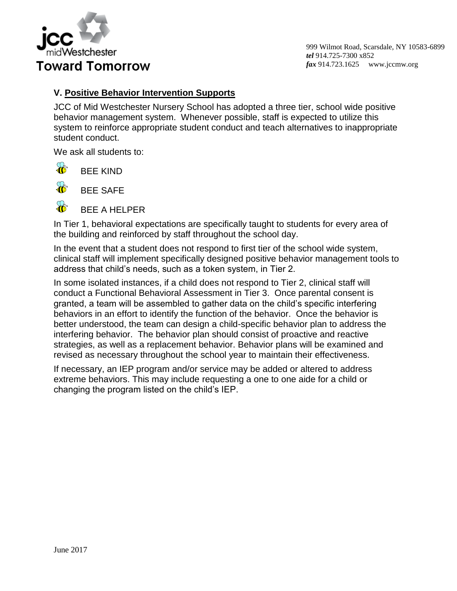

## **V. Positive Behavior Intervention Supports**

JCC of Mid Westchester Nursery School has adopted a three tier, school wide positive behavior management system. Whenever possible, staff is expected to utilize this system to reinforce appropriate student conduct and teach alternatives to inappropriate student conduct.

We ask all students to:

 $\mathcal{R}$ BEE KIND



BEE SAFE

BEE A HELPER

In Tier 1, behavioral expectations are specifically taught to students for every area of the building and reinforced by staff throughout the school day.

In the event that a student does not respond to first tier of the school wide system, clinical staff will implement specifically designed positive behavior management tools to address that child's needs, such as a token system, in Tier 2.

In some isolated instances, if a child does not respond to Tier 2, clinical staff will conduct a Functional Behavioral Assessment in Tier 3. Once parental consent is granted, a team will be assembled to gather data on the child's specific interfering behaviors in an effort to identify the function of the behavior. Once the behavior is better understood, the team can design a child-specific behavior plan to address the interfering behavior. The behavior plan should consist of proactive and reactive strategies, as well as a replacement behavior. Behavior plans will be examined and revised as necessary throughout the school year to maintain their effectiveness.

If necessary, an IEP program and/or service may be added or altered to address extreme behaviors. This may include requesting a one to one aide for a child or changing the program listed on the child's IEP.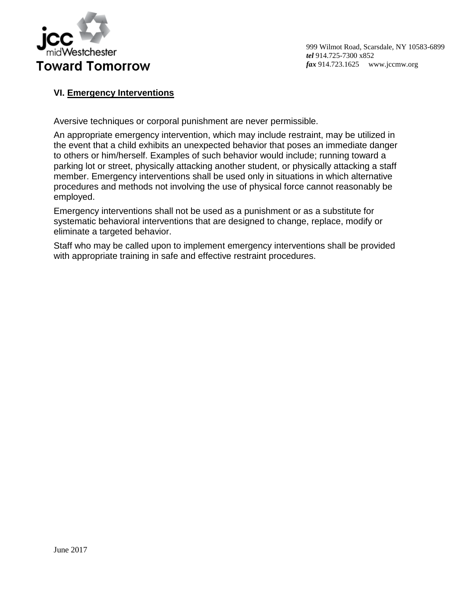

## **VI. Emergency Interventions**

Aversive techniques or corporal punishment are never permissible.

An appropriate emergency intervention, which may include restraint, may be utilized in the event that a child exhibits an unexpected behavior that poses an immediate danger to others or him/herself. Examples of such behavior would include; running toward a parking lot or street, physically attacking another student, or physically attacking a staff member. Emergency interventions shall be used only in situations in which alternative procedures and methods not involving the use of physical force cannot reasonably be employed.

Emergency interventions shall not be used as a punishment or as a substitute for systematic behavioral interventions that are designed to change, replace, modify or eliminate a targeted behavior.

Staff who may be called upon to implement emergency interventions shall be provided with appropriate training in safe and effective restraint procedures.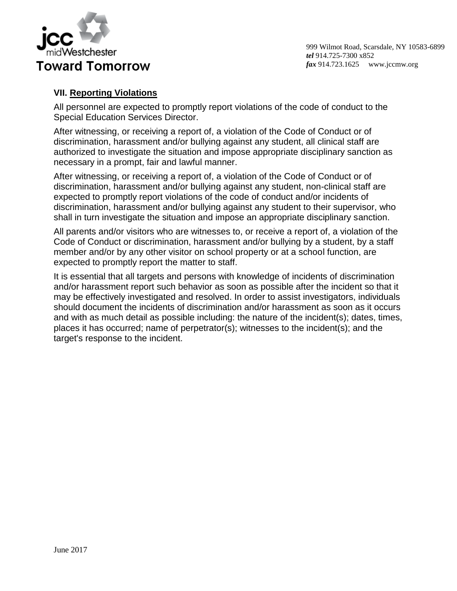

## **VII. Reporting Violations**

All personnel are expected to promptly report violations of the code of conduct to the Special Education Services Director.

After witnessing, or receiving a report of, a violation of the Code of Conduct or of discrimination, harassment and/or bullying against any student, all clinical staff are authorized to investigate the situation and impose appropriate disciplinary sanction as necessary in a prompt, fair and lawful manner.

After witnessing, or receiving a report of, a violation of the Code of Conduct or of discrimination, harassment and/or bullying against any student, non-clinical staff are expected to promptly report violations of the code of conduct and/or incidents of discrimination, harassment and/or bullying against any student to their supervisor, who shall in turn investigate the situation and impose an appropriate disciplinary sanction.

All parents and/or visitors who are witnesses to, or receive a report of, a violation of the Code of Conduct or discrimination, harassment and/or bullying by a student, by a staff member and/or by any other visitor on school property or at a school function, are expected to promptly report the matter to staff.

It is essential that all targets and persons with knowledge of incidents of discrimination and/or harassment report such behavior as soon as possible after the incident so that it may be effectively investigated and resolved. In order to assist investigators, individuals should document the incidents of discrimination and/or harassment as soon as it occurs and with as much detail as possible including: the nature of the incident(s); dates, times, places it has occurred; name of perpetrator(s); witnesses to the incident(s); and the target's response to the incident.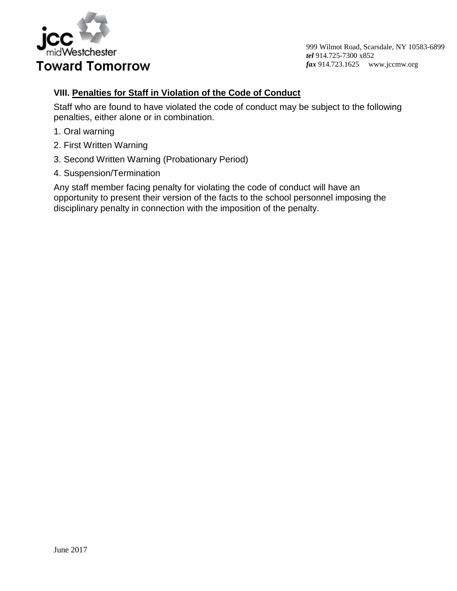

#### **VIII. Penalties for Staff in Violation of the Code of Conduct**

Staff who are found to have violated the code of conduct may be subject to the following penalties, either alone or in combination.

- 1. Oral warning
- 2. First Written Warning
- 3. Second Written Warning (Probationary Period)
- 4. Suspension/Termination

Any staff member facing penalty for violating the code of conduct will have an opportunity to present their version of the facts to the school personnel imposing the disciplinary penalty in connection with the imposition of the penalty.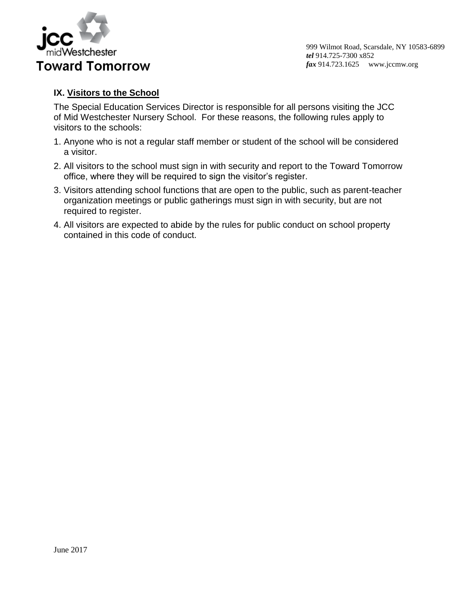

#### **IX. Visitors to the School**

The Special Education Services Director is responsible for all persons visiting the JCC of Mid Westchester Nursery School. For these reasons, the following rules apply to visitors to the schools:

- 1. Anyone who is not a regular staff member or student of the school will be considered a visitor.
- 2. All visitors to the school must sign in with security and report to the Toward Tomorrow office, where they will be required to sign the visitor's register.
- 3. Visitors attending school functions that are open to the public, such as parent-teacher organization meetings or public gatherings must sign in with security, but are not required to register.
- 4. All visitors are expected to abide by the rules for public conduct on school property contained in this code of conduct.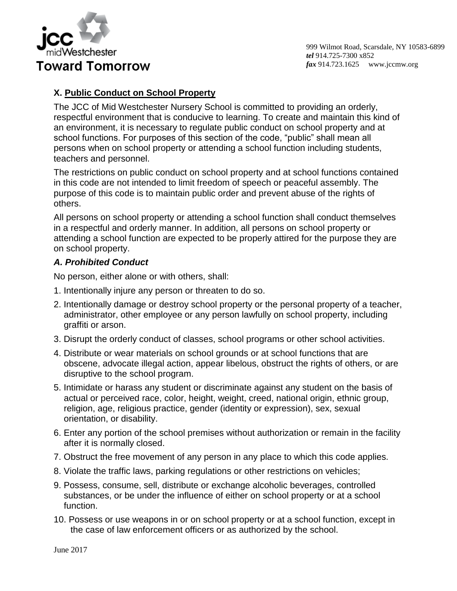

## **X. Public Conduct on School Property**

The JCC of Mid Westchester Nursery School is committed to providing an orderly, respectful environment that is conducive to learning. To create and maintain this kind of an environment, it is necessary to regulate public conduct on school property and at school functions. For purposes of this section of the code, "public" shall mean all persons when on school property or attending a school function including students, teachers and personnel.

The restrictions on public conduct on school property and at school functions contained in this code are not intended to limit freedom of speech or peaceful assembly. The purpose of this code is to maintain public order and prevent abuse of the rights of others.

All persons on school property or attending a school function shall conduct themselves in a respectful and orderly manner. In addition, all persons on school property or attending a school function are expected to be properly attired for the purpose they are on school property.

#### *A. Prohibited Conduct*

No person, either alone or with others, shall:

- 1. Intentionally injure any person or threaten to do so.
- 2. Intentionally damage or destroy school property or the personal property of a teacher, administrator, other employee or any person lawfully on school property, including graffiti or arson.
- 3. Disrupt the orderly conduct of classes, school programs or other school activities.
- 4. Distribute or wear materials on school grounds or at school functions that are obscene, advocate illegal action, appear libelous, obstruct the rights of others, or are disruptive to the school program.
- 5. Intimidate or harass any student or discriminate against any student on the basis of actual or perceived race, color, height, weight, creed, national origin, ethnic group, religion, age, religious practice, gender (identity or expression), sex, sexual orientation, or disability.
- 6. Enter any portion of the school premises without authorization or remain in the facility after it is normally closed.
- 7. Obstruct the free movement of any person in any place to which this code applies.
- 8. Violate the traffic laws, parking regulations or other restrictions on vehicles;
- 9. Possess, consume, sell, distribute or exchange alcoholic beverages, controlled substances, or be under the influence of either on school property or at a school function.
- 10. Possess or use weapons in or on school property or at a school function, except in the case of law enforcement officers or as authorized by the school.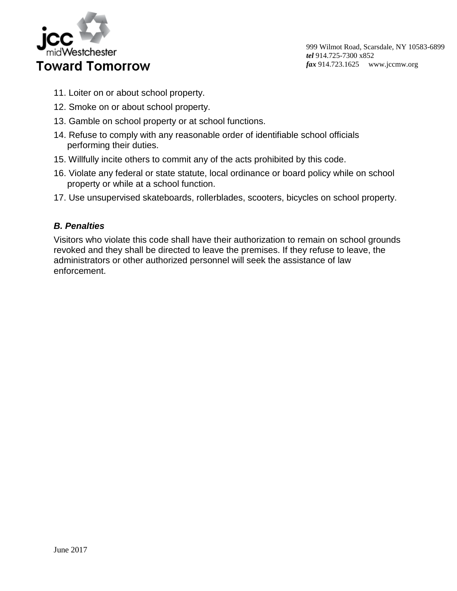

- 11. Loiter on or about school property.
- 12. Smoke on or about school property.
- 13. Gamble on school property or at school functions.
- 14. Refuse to comply with any reasonable order of identifiable school officials performing their duties.
- 15. Willfully incite others to commit any of the acts prohibited by this code.
- 16. Violate any federal or state statute, local ordinance or board policy while on school property or while at a school function.
- 17. Use unsupervised skateboards, rollerblades, scooters, bicycles on school property.

#### *B. Penalties*

Visitors who violate this code shall have their authorization to remain on school grounds revoked and they shall be directed to leave the premises. If they refuse to leave, the administrators or other authorized personnel will seek the assistance of law enforcement.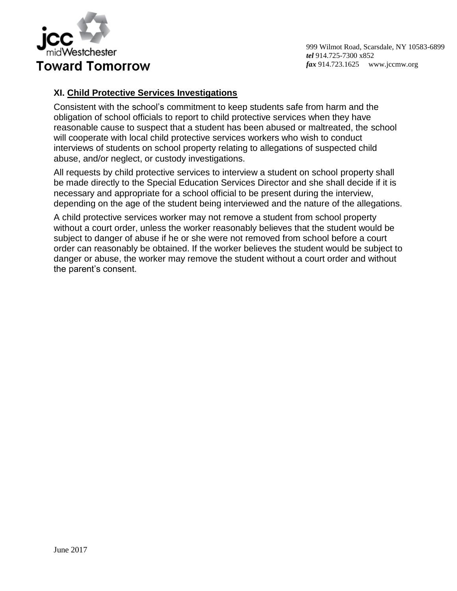

## **XI. Child Protective Services Investigations**

Consistent with the school's commitment to keep students safe from harm and the obligation of school officials to report to child protective services when they have reasonable cause to suspect that a student has been abused or maltreated, the school will cooperate with local child protective services workers who wish to conduct interviews of students on school property relating to allegations of suspected child abuse, and/or neglect, or custody investigations.

All requests by child protective services to interview a student on school property shall be made directly to the Special Education Services Director and she shall decide if it is necessary and appropriate for a school official to be present during the interview, depending on the age of the student being interviewed and the nature of the allegations.

A child protective services worker may not remove a student from school property without a court order, unless the worker reasonably believes that the student would be subject to danger of abuse if he or she were not removed from school before a court order can reasonably be obtained. If the worker believes the student would be subject to danger or abuse, the worker may remove the student without a court order and without the parent's consent.